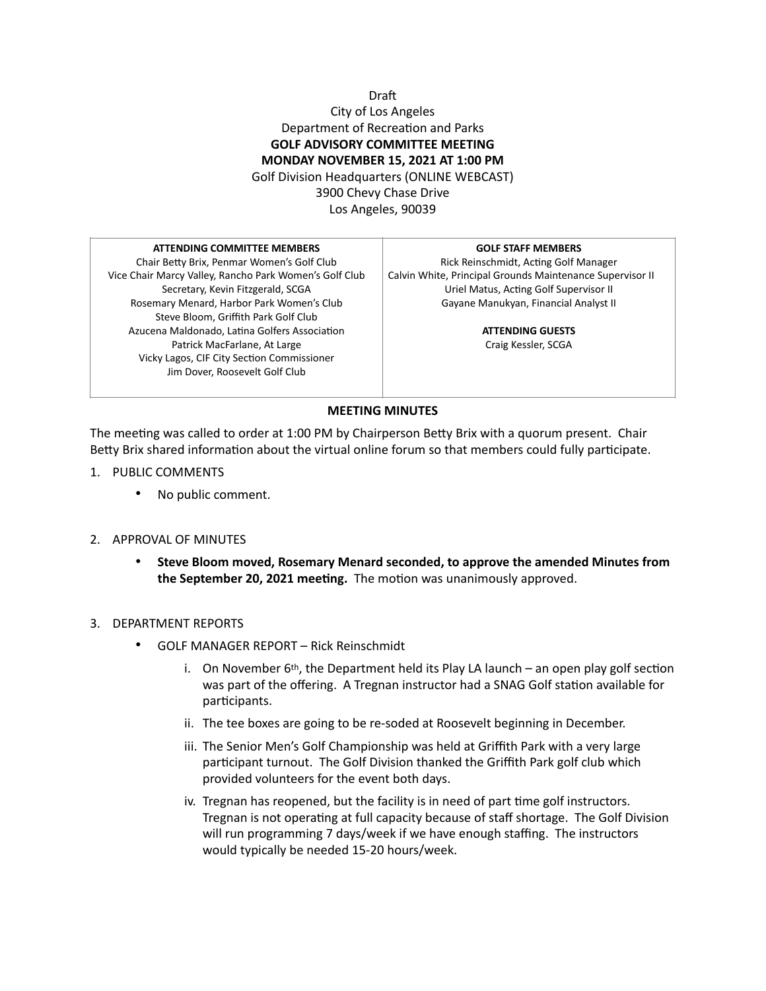# Draft City of Los Angeles Department of Recreation and Parks **GOLF ADVISORY COMMITTEE MEETING MONDAY NOVEMBER 15, 2021 AT 1:00 PM**  Golf Division Headquarters (ONLINE WEBCAST) 3900 Chevy Chase Drive Los Angeles, 90039

#### **ATTENDING COMMITTEE MEMBERS**

Chair Betty Brix, Penmar Women's Golf Club Vice Chair Marcy Valley, Rancho Park Women's Golf Club Secretary, Kevin Fitzgerald, SCGA Rosemary Menard, Harbor Park Women's Club Steve Bloom, Griffith Park Golf Club Azucena Maldonado, Latina Golfers Association Patrick MacFarlane, At Large Vicky Lagos, CIF City Section Commissioner Jim Dover, Roosevelt Golf Club

#### **GOLF STAFF MEMBERS**

Rick Reinschmidt, Acting Golf Manager Calvin White, Principal Grounds Maintenance Supervisor II Uriel Matus, Acting Golf Supervisor II Gayane Manukyan, Financial Analyst II

> **ATTENDING GUESTS** Craig Kessler, SCGA

## **MEETING MINUTES**

The meeting was called to order at 1:00 PM by Chairperson Betty Brix with a quorum present. Chair Betty Brix shared information about the virtual online forum so that members could fully participate.

- 1. PUBLIC COMMENTS
	- No public comment.
- 2. APPROVAL OF MINUTES
	- **Steve Bloom moved, Rosemary Menard seconded, to approve the amended Minutes from**  the September 20, 2021 meeting. The motion was unanimously approved.

## 3. DEPARTMENT REPORTS

- GOLF MANAGER REPORT Rick Reinschmidt
	- i. On November  $6<sup>th</sup>$ , the Department held its Play LA launch an open play golf section was part of the offering. A Tregnan instructor had a SNAG Golf station available for participants.
	- ii. The tee boxes are going to be re-soded at Roosevelt beginning in December.
	- iii. The Senior Men's Golf Championship was held at Griffith Park with a very large participant turnout. The Golf Division thanked the Griffith Park golf club which provided volunteers for the event both days.
	- iv. Tregnan has reopened, but the facility is in need of part time golf instructors. Tregnan is not operating at full capacity because of staff shortage. The Golf Division will run programming 7 days/week if we have enough staffing. The instructors would typically be needed 15-20 hours/week.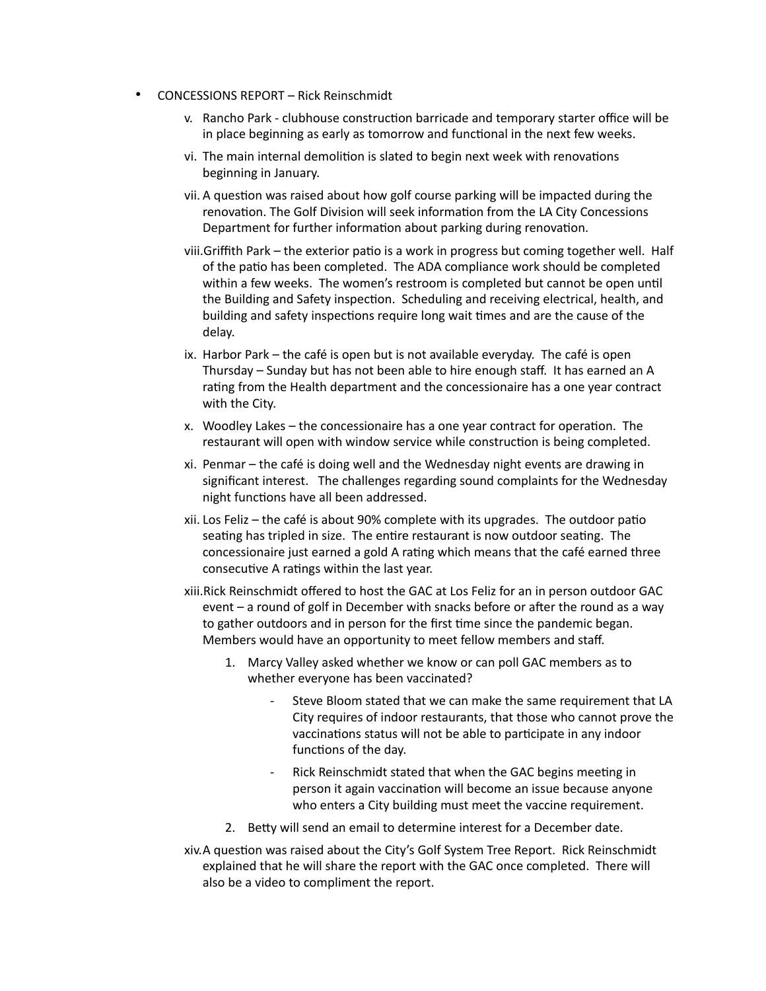- CONCESSIONS REPORT Rick Reinschmidt
	- v. Rancho Park clubhouse construction barricade and temporary starter office will be in place beginning as early as tomorrow and functional in the next few weeks.
	- vi. The main internal demolition is slated to begin next week with renovations beginning in January.
	- vii. A question was raised about how golf course parking will be impacted during the renovation. The Golf Division will seek information from the LA City Concessions Department for further information about parking during renovation.
	- viii. Griffith Park the exterior patio is a work in progress but coming together well. Half of the patio has been completed. The ADA compliance work should be completed within a few weeks. The women's restroom is completed but cannot be open until the Building and Safety inspection. Scheduling and receiving electrical, health, and building and safety inspections require long wait times and are the cause of the delay.
	- ix. Harbor Park the café is open but is not available everyday. The café is open Thursday – Sunday but has not been able to hire enough staff. It has earned an A rating from the Health department and the concessionaire has a one year contract with the City.
	- x. Woodley Lakes the concessionaire has a one year contract for operation. The restaurant will open with window service while construction is being completed.
	- xi. Penmar the café is doing well and the Wednesday night events are drawing in significant interest. The challenges regarding sound complaints for the Wednesday night functions have all been addressed.
	- $xii.$  Los Feliz the café is about 90% complete with its upgrades. The outdoor patio seating has tripled in size. The entire restaurant is now outdoor seating. The concessionaire just earned a gold A rating which means that the café earned three consecutive A ratings within the last year.
	- xiii.Rick Reinschmidt offered to host the GAC at Los Feliz for an in person outdoor GAC event  $-$  a round of golf in December with snacks before or after the round as a way to gather outdoors and in person for the first time since the pandemic began. Members would have an opportunity to meet fellow members and staff.
		- 1. Marcy Valley asked whether we know or can poll GAC members as to whether everyone has been vaccinated?
			- Steve Bloom stated that we can make the same requirement that LA City requires of indoor restaurants, that those who cannot prove the vaccinations status will not be able to participate in any indoor functions of the day.
			- Rick Reinschmidt stated that when the GAC begins meeting in person it again vaccination will become an issue because anyone who enters a City building must meet the vaccine requirement.
		- 2. Betty will send an email to determine interest for a December date.
	- xiv.A question was raised about the City's Golf System Tree Report. Rick Reinschmidt explained that he will share the report with the GAC once completed. There will also be a video to compliment the report.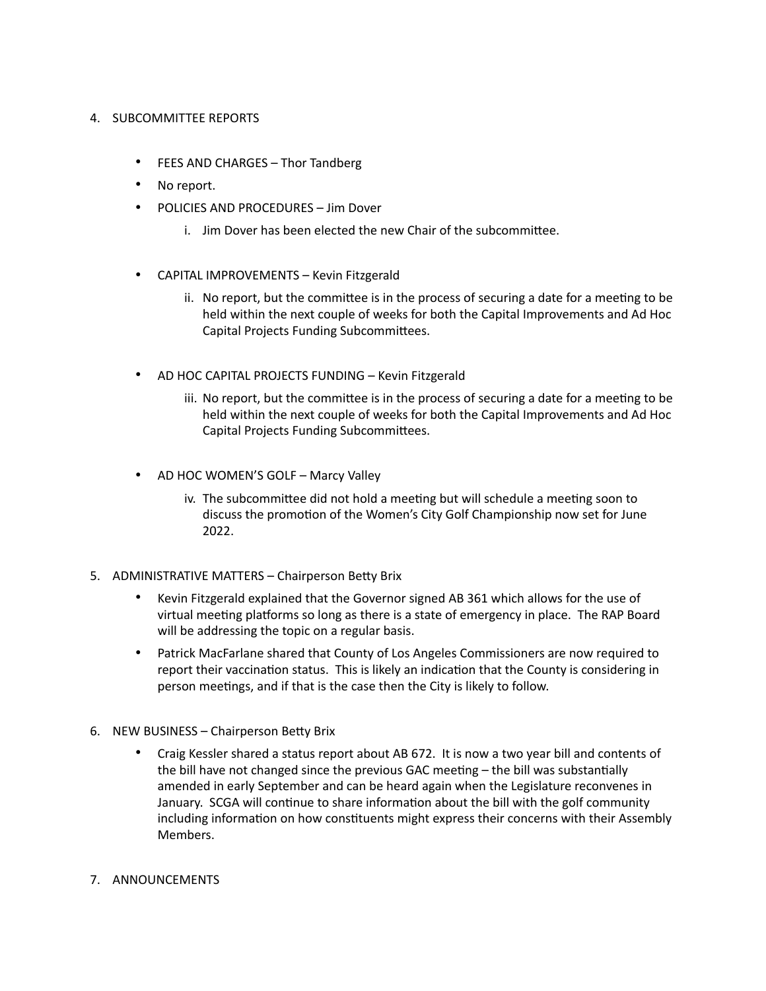# 4. SUBCOMMITTEE REPORTS

- FEES AND CHARGES Thor Tandberg
- No report.
- POLICIES AND PROCEDURES Jim Dover
	- i. Jim Dover has been elected the new Chair of the subcommittee.
- CAPITAL IMPROVEMENTS Kevin Fitzgerald
	- ii. No report, but the committee is in the process of securing a date for a meeting to be held within the next couple of weeks for both the Capital Improvements and Ad Hoc Capital Projects Funding Subcommittees.
- AD HOC CAPITAL PROJECTS FUNDING Kevin Fitzgerald
	- iii. No report, but the committee is in the process of securing a date for a meeting to be held within the next couple of weeks for both the Capital Improvements and Ad Hoc Capital Projects Funding Subcommittees.
- AD HOC WOMEN'S GOLF Marcy Valley
	- iv. The subcommittee did not hold a meeting but will schedule a meeting soon to discuss the promotion of the Women's City Golf Championship now set for June 2022.
- 5. ADMINISTRATIVE MATTERS Chairperson Betty Brix
	- Kevin Fitzgerald explained that the Governor signed AB 361 which allows for the use of virtual meeting platforms so long as there is a state of emergency in place. The RAP Board will be addressing the topic on a regular basis.
	- Patrick MacFarlane shared that County of Los Angeles Commissioners are now required to report their vaccination status. This is likely an indication that the County is considering in person meetings, and if that is the case then the City is likely to follow.
- 6. NEW BUSINESS Chairperson Betty Brix
	- Craig Kessler shared a status report about AB 672. It is now a two year bill and contents of the bill have not changed since the previous GAC meeting  $-$  the bill was substantially amended in early September and can be heard again when the Legislature reconvenes in January. SCGA will continue to share information about the bill with the golf community including information on how constituents might express their concerns with their Assembly Members.
- 7. ANNOUNCEMENTS